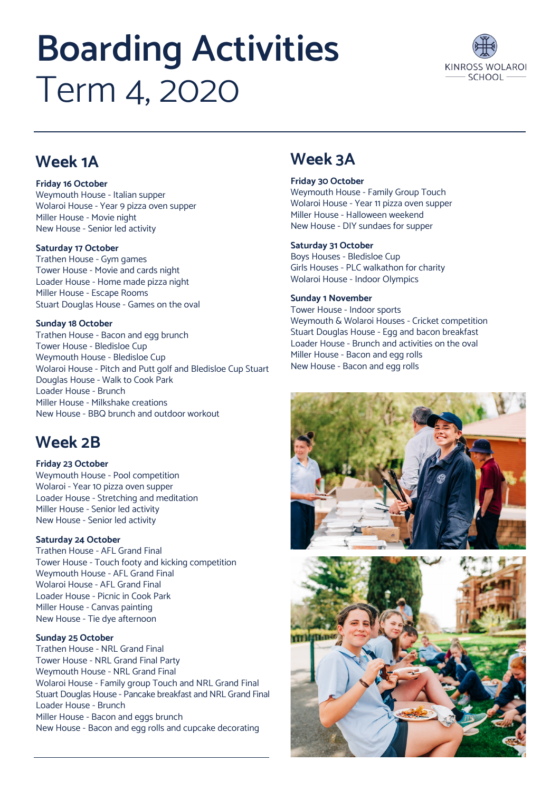# **Boarding Activities**  Term 4, 2020



# **Week 1A**

### **Friday 16 October**

Weymouth House - Italian supper Wolaroi House - Year 9 pizza oven supper Miller House - Movie night New House - Senior led activity

#### **Saturday 17 October**

Trathen House - Gym games Tower House - Movie and cards night Loader House - Home made pizza night Miller House - Escape Rooms Stuart Douglas House - Games on the oval

## **Sunday 18 October**

Trathen House - Bacon and egg brunch Tower House - Bledisloe Cup Weymouth House - Bledisloe Cup Wolaroi House - Pitch and Putt golf and Bledisloe Cup Stuart Douglas House - Walk to Cook Park Loader House - Brunch Miller House - Milkshake creations New House - BBQ brunch and outdoor workout

# **Week 2B**

#### **Friday 23 October** Weymouth House - Pool competition Wolaroi - Year 10 pizza oven supper Loader House - Stretching and meditation Miller House - Senior led activity New House - Senior led activity

## **Saturday 24 October**

Trathen House - AFL Grand Final Tower House - Touch footy and kicking competition Weymouth House - AFL Grand Final Wolaroi House - AFL Grand Final Loader House - Picnic in Cook Park Miller House - Canvas painting New House - Tie dye afternoon

## **Sunday 25 October**

Trathen House - NRL Grand Final Tower House - NRL Grand Final Party Weymouth House - NRL Grand Final Wolaroi House - Family group Touch and NRL Grand Final Stuart Douglas House - Pancake breakfast and NRL Grand Final Loader House - Brunch Miller House - Bacon and eggs brunch New House - Bacon and egg rolls and cupcake decorating

# **Week 3A**

#### **Friday 30 October**

Weymouth House - Family Group Touch Wolaroi House - Year 11 pizza oven supper Miller House - Halloween weekend New House - DIY sundaes for supper

#### **Saturday 31 October**

Boys Houses - Bledisloe Cup Girls Houses - PLC walkathon for charity Wolaroi House - Indoor Olympics

## **Sunday 1 November**

Tower House - Indoor sports Weymouth & Wolaroi Houses - Cricket competition Stuart Douglas House - Egg and bacon breakfast Loader House - Brunch and activities on the oval Miller House - Bacon and egg rolls New House - Bacon and egg rolls